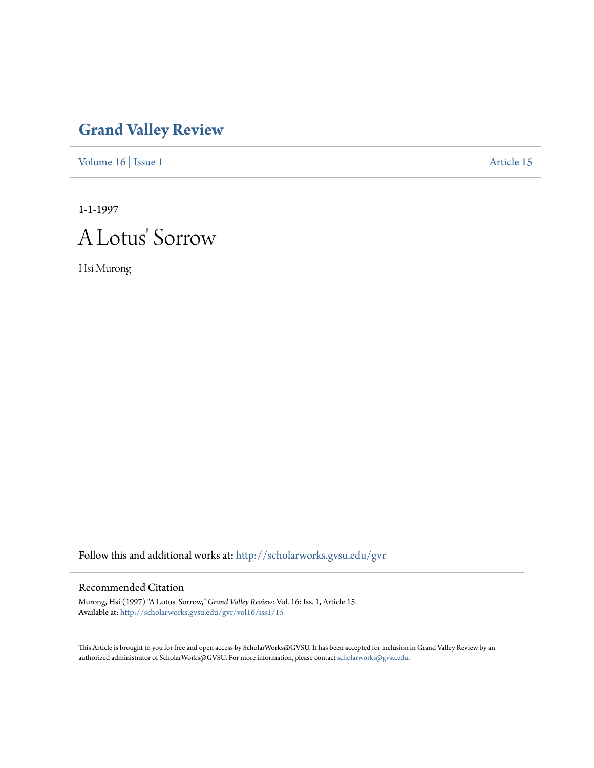## **[Grand Valley Review](http://scholarworks.gvsu.edu/gvr?utm_source=scholarworks.gvsu.edu%2Fgvr%2Fvol16%2Fiss1%2F15&utm_medium=PDF&utm_campaign=PDFCoverPages)**

[Volume 16](http://scholarworks.gvsu.edu/gvr/vol16?utm_source=scholarworks.gvsu.edu%2Fgvr%2Fvol16%2Fiss1%2F15&utm_medium=PDF&utm_campaign=PDFCoverPages) | [Issue 1](http://scholarworks.gvsu.edu/gvr/vol16/iss1?utm_source=scholarworks.gvsu.edu%2Fgvr%2Fvol16%2Fiss1%2F15&utm_medium=PDF&utm_campaign=PDFCoverPages) [Article 15](http://scholarworks.gvsu.edu/gvr/vol16/iss1/15?utm_source=scholarworks.gvsu.edu%2Fgvr%2Fvol16%2Fiss1%2F15&utm_medium=PDF&utm_campaign=PDFCoverPages)

1-1-1997

## A Lotus' Sorrow

Hsi Murong

Follow this and additional works at: [http://scholarworks.gvsu.edu/gvr](http://scholarworks.gvsu.edu/gvr?utm_source=scholarworks.gvsu.edu%2Fgvr%2Fvol16%2Fiss1%2F15&utm_medium=PDF&utm_campaign=PDFCoverPages)

## Recommended Citation

Murong, Hsi (1997) "A Lotus' Sorrow," *Grand Valley Review*: Vol. 16: Iss. 1, Article 15. Available at: [http://scholarworks.gvsu.edu/gvr/vol16/iss1/15](http://scholarworks.gvsu.edu/gvr/vol16/iss1/15?utm_source=scholarworks.gvsu.edu%2Fgvr%2Fvol16%2Fiss1%2F15&utm_medium=PDF&utm_campaign=PDFCoverPages)

This Article is brought to you for free and open access by ScholarWorks@GVSU. It has been accepted for inclusion in Grand Valley Review by an authorized administrator of ScholarWorks@GVSU. For more information, please contact [scholarworks@gvsu.edu.](mailto:scholarworks@gvsu.edu)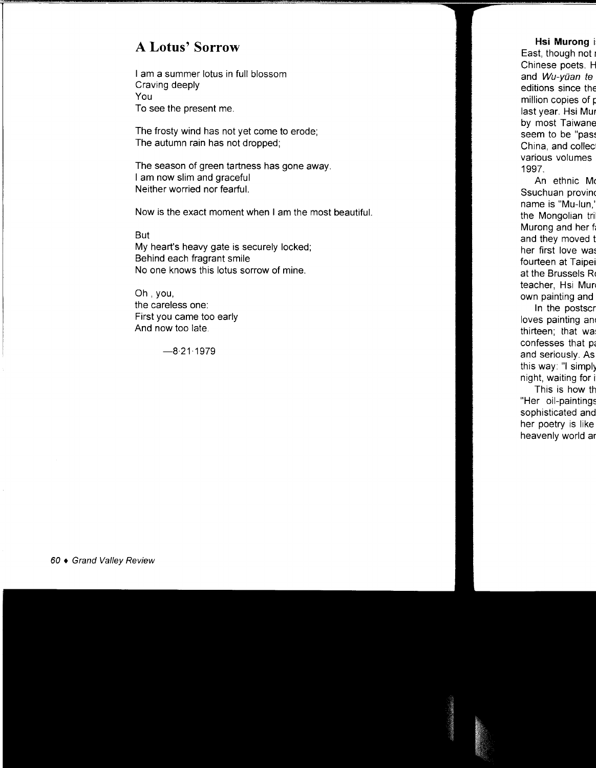## **A Lotus' Sorrow**

I am a summer lotus in full blossom Craving deeply You To see the present me.

The frosty wind has not yet come to erode; The autumn rain has not dropped;

The season of green tartness has gone away. I am now slim and graceful Neither worried nor fearful.

Now is the exact moment when I am the most beautiful.

But My heart's heavy gate is securely locked; Behind each fragrant smile No one knows this lotus sorrow of mine.

Oh, you, the careless one: First you came too early And now too late.

 $-8.21.1979$